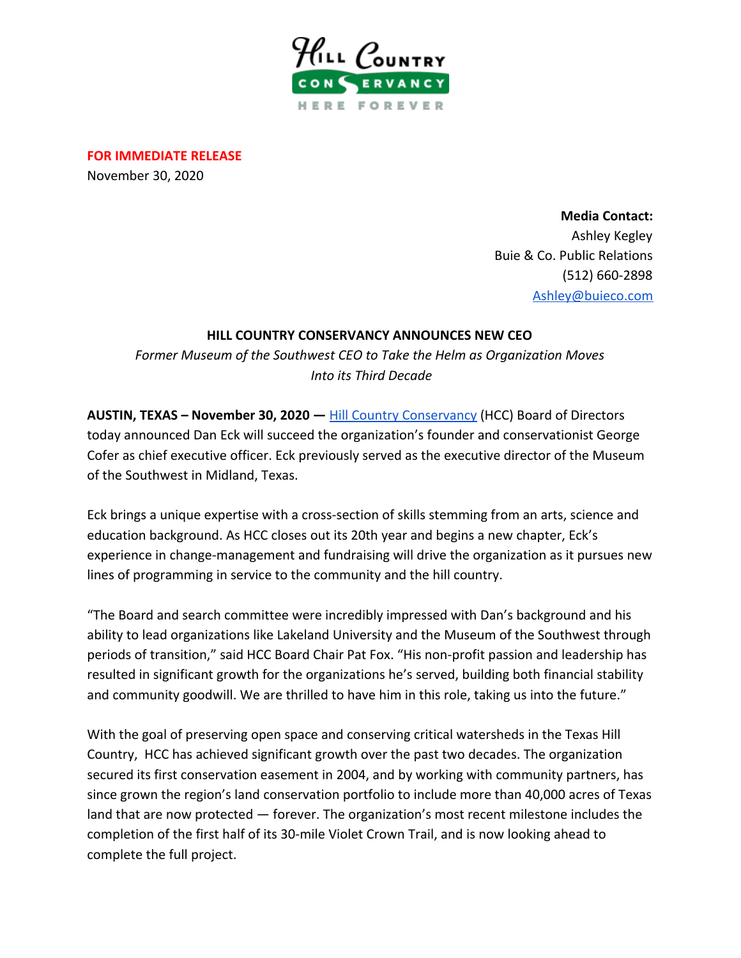

**FOR IMMEDIATE RELEASE** November 30, 2020

> **Media Contact:** Ashley Kegley Buie & Co. Public Relations (512) 660-2898 [Ashley@buieco.com](mailto:Ashley@buieco.com)

## **HILL COUNTRY CONSERVANCY ANNOUNCES NEW CEO**

*Former Museum of the Southwest CEO to Take the Helm as Organization Moves Into its Third Decade*

**AUSTIN, TEXAS – November 30, 2020 —** [Hill Country Conservancy](https://hillcountryconservancy.org/) (HCC) Board of Directors today announced Dan Eck will succeed the organization's founder and conservationist George Cofer as chief executive officer. Eck previously served as the executive director of the Museum of the Southwest in Midland, Texas.

Eck brings a unique expertise with a cross-section of skills stemming from an arts, science and education background. As HCC closes out its 20th year and begins a new chapter, Eck's experience in change-management and fundraising will drive the organization as it pursues new lines of programming in service to the community and the hill country.

"The Board and search committee were incredibly impressed with Dan's background and his ability to lead organizations like Lakeland University and the Museum of the Southwest through periods of transition," said HCC Board Chair Pat Fox. "His non-profit passion and leadership has resulted in significant growth for the organizations he's served, building both financial stability and community goodwill. We are thrilled to have him in this role, taking us into the future."

With the goal of preserving open space and conserving critical watersheds in the Texas Hill Country, HCC has achieved significant growth over the past two decades. The organization secured its first conservation easement in 2004, and by working with community partners, has since grown the region's land conservation portfolio to include more than 40,000 acres of Texas land that are now protected — forever. The organization's most recent milestone includes the completion of the first half of its 30-mile Violet Crown Trail, and is now looking ahead to complete the full project.